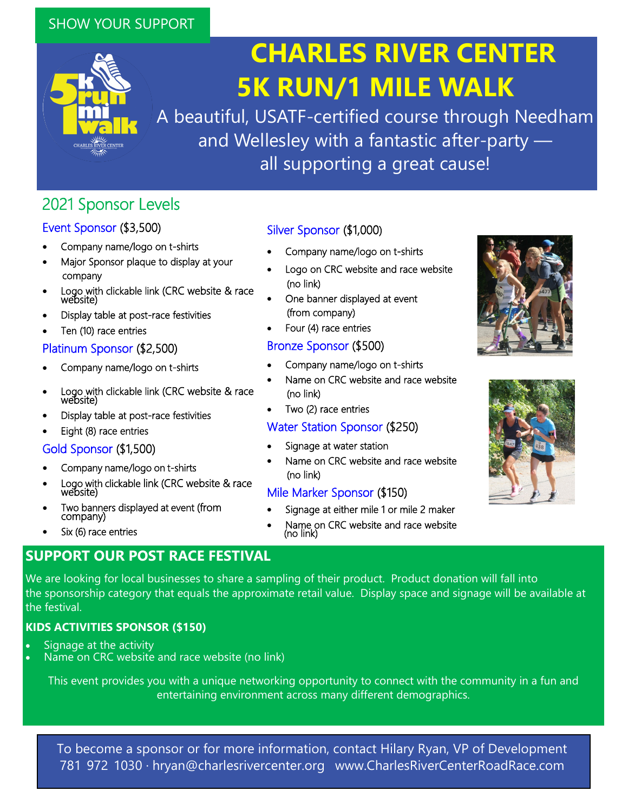## SHOW YOUR SUPPORT



# **CHARLES RIVER CENTER 5K RUN/1 MILE WALK**

A beautiful, USATF-certified course through Needham and Wellesley with a fantastic after-party all supporting a great cause!

# 2021 Sponsor Levels

## Event Sponsor (\$3,500)

- Company name/logo on t-shirts
- Major Sponsor plaque to display at your company
- Logo with clickable link (CRC website & race website)
- Display table at post-race festivities
- Ten (10) race entries

#### Platinum Sponsor (\$2,500)

- Company name/logo on t-shirts
- Logo with clickable link (CRC website & race<br>website)
- Display table at post-race festivities
- Eight (8) race entries

#### Gold Sponsor (\$1,500)

- Company name/logo on t-shirts
- Logo with clickable link (CRC website & race website)
- Two banners displayed at event (from company)
- Six (6) race entries

## **SUPPORT OUR POST RACE FESTIVAL**

Silver Sponsor (\$1,000)

- Company name/logo on t-shirts
- Logo on CRC website and race website (no link)
- One banner displayed at event (from company)
- Four (4) race entries

## Bronze Sponsor (\$500)

- Company name/logo on t-shirts
- Name on CRC website and race website (no link)
- Two (2) race entries

## Water Station Sponsor (\$250)

- Signage at water station
- Name on CRC website and race website (no link)

## Mile Marker Sponsor (\$150)

- Signage at either mile 1 or mile 2 maker
- Name on CRC website and race website (no link)





We are looking for local businesses to share a sampling of their product. Product donation will fall into the sponsorship category that equals the approximate retail value. Display space and signage will be available at the festival.

## **KIDS ACTIVITIES SPONSOR (\$150)**

- Signage at the activity
- Name on CRC website and race website (no link)

This event provides you with a unique networking opportunity to connect with the community in a fun and entertaining environment across many different demographics.

To become a sponsor or for more information, contact Hilary Ryan, VP of Development 781-972-1030 · hryan@charlesrivercenter.org · www.CharlesRiverCenterRoadRace.com